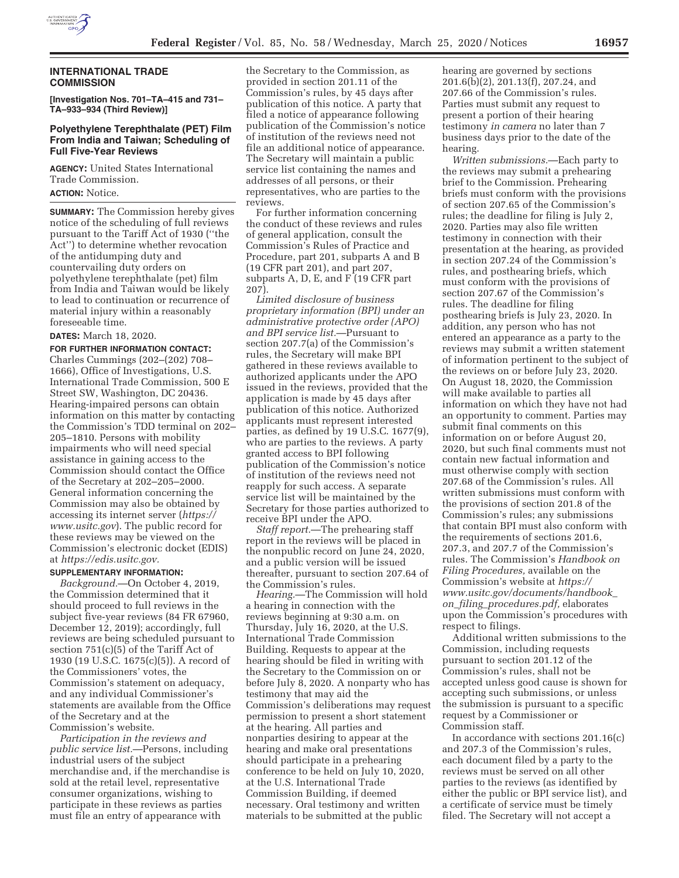

## **INTERNATIONAL TRADE COMMISSION**

**[Investigation Nos. 701–TA–415 and 731– TA–933–934 (Third Review)]** 

### **Polyethylene Terephthalate (PET) Film From India and Taiwan; Scheduling of Full Five-Year Reviews**

**AGENCY:** United States International Trade Commission.

**ACTION:** Notice.

**SUMMARY:** The Commission hereby gives notice of the scheduling of full reviews pursuant to the Tariff Act of 1930 (''the Act'') to determine whether revocation of the antidumping duty and countervailing duty orders on polyethylene terephthalate (pet) film from India and Taiwan would be likely to lead to continuation or recurrence of material injury within a reasonably foreseeable time.

## **DATES:** March 18, 2020.

**FOR FURTHER INFORMATION CONTACT:**  Charles Cummings (202–(202) 708– 1666), Office of Investigations, U.S. International Trade Commission, 500 E Street SW, Washington, DC 20436. Hearing-impaired persons can obtain information on this matter by contacting the Commission's TDD terminal on 202– 205–1810. Persons with mobility impairments who will need special assistance in gaining access to the Commission should contact the Office of the Secretary at 202–205–2000. General information concerning the Commission may also be obtained by accessing its internet server (*https:// www.usitc.gov*). The public record for these reviews may be viewed on the Commission's electronic docket (EDIS) at *https://edis.usitc.gov.* 

### **SUPPLEMENTARY INFORMATION:**

*Background.*—On October 4, 2019, the Commission determined that it should proceed to full reviews in the subject five-year reviews (84 FR 67960, December 12, 2019); accordingly, full reviews are being scheduled pursuant to section 751(c)(5) of the Tariff Act of 1930 (19 U.S.C. 1675(c)(5)). A record of the Commissioners' votes, the Commission's statement on adequacy, and any individual Commissioner's statements are available from the Office of the Secretary and at the Commission's website.

*Participation in the reviews and public service list.*—Persons, including industrial users of the subject merchandise and, if the merchandise is sold at the retail level, representative consumer organizations, wishing to participate in these reviews as parties must file an entry of appearance with

the Secretary to the Commission, as provided in section 201.11 of the Commission's rules, by 45 days after publication of this notice. A party that filed a notice of appearance following publication of the Commission's notice of institution of the reviews need not file an additional notice of appearance. The Secretary will maintain a public service list containing the names and addresses of all persons, or their representatives, who are parties to the reviews.

For further information concerning the conduct of these reviews and rules of general application, consult the Commission's Rules of Practice and Procedure, part 201, subparts A and B (19 CFR part 201), and part 207, subparts A, D, E, and F (19 CFR part 207).

*Limited disclosure of business proprietary information (BPI) under an administrative protective order (APO) and BPI service list.*—Pursuant to section 207.7(a) of the Commission's rules, the Secretary will make BPI gathered in these reviews available to authorized applicants under the APO issued in the reviews, provided that the application is made by 45 days after publication of this notice. Authorized applicants must represent interested parties, as defined by 19 U.S.C. 1677(9), who are parties to the reviews. A party granted access to BPI following publication of the Commission's notice of institution of the reviews need not reapply for such access. A separate service list will be maintained by the Secretary for those parties authorized to receive BPI under the APO.

*Staff report.*—The prehearing staff report in the reviews will be placed in the nonpublic record on June 24, 2020, and a public version will be issued thereafter, pursuant to section 207.64 of the Commission's rules.

*Hearing.*—The Commission will hold a hearing in connection with the reviews beginning at 9:30 a.m. on Thursday, July 16, 2020, at the U.S. International Trade Commission Building. Requests to appear at the hearing should be filed in writing with the Secretary to the Commission on or before July 8, 2020. A nonparty who has testimony that may aid the Commission's deliberations may request permission to present a short statement at the hearing. All parties and nonparties desiring to appear at the hearing and make oral presentations should participate in a prehearing conference to be held on July 10, 2020, at the U.S. International Trade Commission Building, if deemed necessary. Oral testimony and written materials to be submitted at the public

hearing are governed by sections 201.6(b)(2), 201.13(f), 207.24, and 207.66 of the Commission's rules. Parties must submit any request to present a portion of their hearing testimony *in camera* no later than 7 business days prior to the date of the hearing.

*Written submissions.*—Each party to the reviews may submit a prehearing brief to the Commission. Prehearing briefs must conform with the provisions of section 207.65 of the Commission's rules; the deadline for filing is July 2, 2020. Parties may also file written testimony in connection with their presentation at the hearing, as provided in section 207.24 of the Commission's rules, and posthearing briefs, which must conform with the provisions of section 207.67 of the Commission's rules. The deadline for filing posthearing briefs is July 23, 2020. In addition, any person who has not entered an appearance as a party to the reviews may submit a written statement of information pertinent to the subject of the reviews on or before July 23, 2020. On August 18, 2020, the Commission will make available to parties all information on which they have not had an opportunity to comment. Parties may submit final comments on this information on or before August 20, 2020, but such final comments must not contain new factual information and must otherwise comply with section 207.68 of the Commission's rules. All written submissions must conform with the provisions of section 201.8 of the Commission's rules; any submissions that contain BPI must also conform with the requirements of sections 201.6, 207.3, and 207.7 of the Commission's rules. The Commission's *Handbook on Filing Procedures,* available on the Commission's website at *https:// www.usitc.gov/documents/handbook*\_ *on*\_*filing*\_*procedures.pdf,* elaborates upon the Commission's procedures with respect to filings.

Additional written submissions to the Commission, including requests pursuant to section 201.12 of the Commission's rules, shall not be accepted unless good cause is shown for accepting such submissions, or unless the submission is pursuant to a specific request by a Commissioner or Commission staff.

In accordance with sections 201.16(c) and 207.3 of the Commission's rules, each document filed by a party to the reviews must be served on all other parties to the reviews (as identified by either the public or BPI service list), and a certificate of service must be timely filed. The Secretary will not accept a